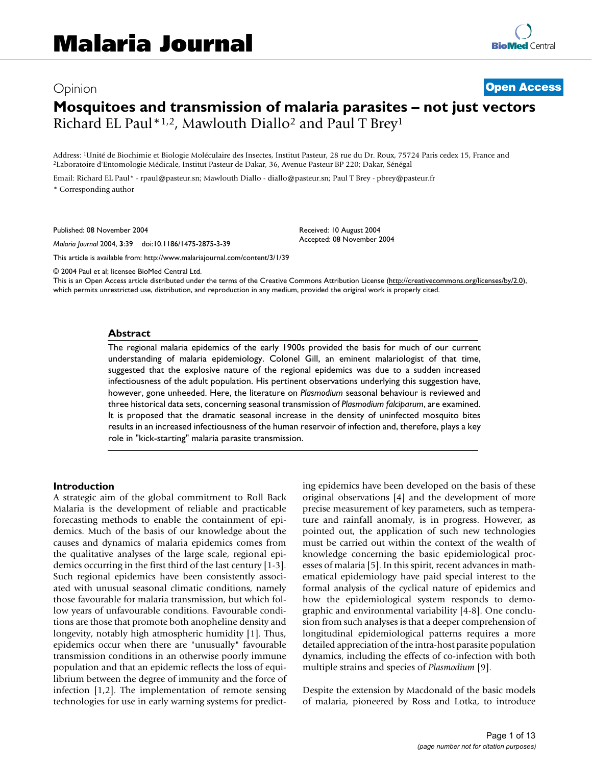# Opinion **[Open Access](http://www.biomedcentral.com/info/about/charter/) Mosquitoes and transmission of malaria parasites – not just vectors** Richard EL Paul\*1,2, Mawlouth Diallo2 and Paul T Brey1

Address: 1Unité de Biochimie et Biologie Moléculaire des Insectes, Institut Pasteur, 28 rue du Dr. Roux, 75724 Paris cedex 15, France and 2Laboratoire d'Entomologie Médicale, Institut Pasteur de Dakar, 36, Avenue Pasteur BP 220; Dakar, Sénégal

Email: Richard EL Paul\* - rpaul@pasteur.sn; Mawlouth Diallo - diallo@pasteur.sn; Paul T Brey - pbrey@pasteur.fr \* Corresponding author

Published: 08 November 2004

*Malaria Journal* 2004, **3**:39 doi:10.1186/1475-2875-3-39

[This article is available from: http://www.malariajournal.com/content/3/1/39](http://www.malariajournal.com/content/3/1/39)

© 2004 Paul et al; licensee BioMed Central Ltd.

This is an Open Access article distributed under the terms of the Creative Commons Attribution License [\(http://creativecommons.org/licenses/by/2.0\)](http://creativecommons.org/licenses/by/2.0), which permits unrestricted use, distribution, and reproduction in any medium, provided the original work is properly cited.

Received: 10 August 2004 Accepted: 08 November 2004

#### **Abstract**

The regional malaria epidemics of the early 1900s provided the basis for much of our current understanding of malaria epidemiology. Colonel Gill, an eminent malariologist of that time, suggested that the explosive nature of the regional epidemics was due to a sudden increased infectiousness of the adult population. His pertinent observations underlying this suggestion have, however, gone unheeded. Here, the literature on *Plasmodium* seasonal behaviour is reviewed and three historical data sets, concerning seasonal transmission of *Plasmodium falciparum*, are examined. It is proposed that the dramatic seasonal increase in the density of uninfected mosquito bites results in an increased infectiousness of the human reservoir of infection and, therefore, plays a key role in "kick-starting" malaria parasite transmission.

#### **Introduction**

A strategic aim of the global commitment to Roll Back Malaria is the development of reliable and practicable forecasting methods to enable the containment of epidemics. Much of the basis of our knowledge about the causes and dynamics of malaria epidemics comes from the qualitative analyses of the large scale, regional epidemics occurring in the first third of the last century [1-3]. Such regional epidemics have been consistently associated with unusual seasonal climatic conditions, namely those favourable for malaria transmission, but which follow years of unfavourable conditions. Favourable conditions are those that promote both anopheline density and longevity, notably high atmospheric humidity [1]. Thus, epidemics occur when there are "unusually" favourable transmission conditions in an otherwise poorly immune population and that an epidemic reflects the loss of equilibrium between the degree of immunity and the force of infection [1,2]. The implementation of remote sensing technologies for use in early warning systems for predicting epidemics have been developed on the basis of these original observations [4] and the development of more precise measurement of key parameters, such as temperature and rainfall anomaly, is in progress. However, as pointed out, the application of such new technologies must be carried out within the context of the wealth of knowledge concerning the basic epidemiological processes of malaria [5]. In this spirit, recent advances in mathematical epidemiology have paid special interest to the formal analysis of the cyclical nature of epidemics and how the epidemiological system responds to demographic and environmental variability [4-8]. One conclusion from such analyses is that a deeper comprehension of longitudinal epidemiological patterns requires a more detailed appreciation of the intra-host parasite population dynamics, including the effects of co-infection with both multiple strains and species of *Plasmodium* [9].

Despite the extension by Macdonald of the basic models of malaria, pioneered by Ross and Lotka, to introduce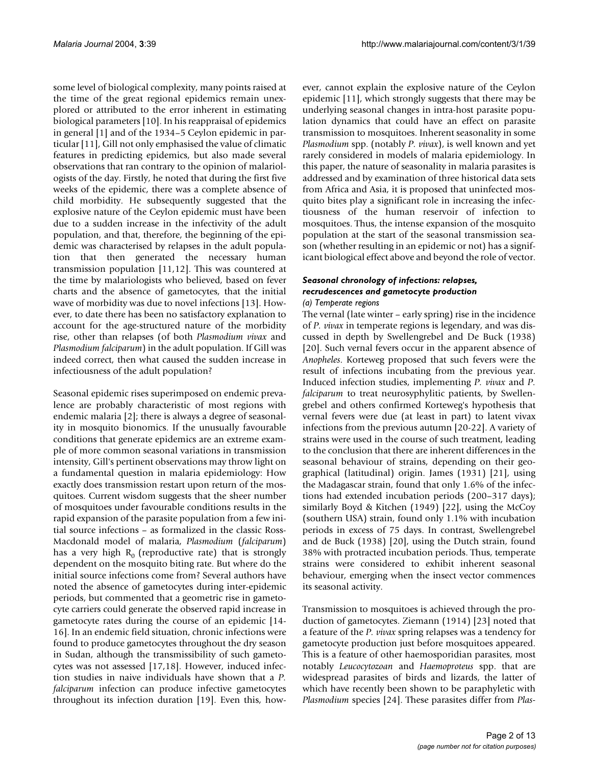some level of biological complexity, many points raised at the time of the great regional epidemics remain unexplored or attributed to the error inherent in estimating biological parameters [10]. In his reappraisal of epidemics in general [1] and of the 1934–5 Ceylon epidemic in particular [11], Gill not only emphasised the value of climatic features in predicting epidemics, but also made several observations that ran contrary to the opinion of malariologists of the day. Firstly, he noted that during the first five weeks of the epidemic, there was a complete absence of child morbidity. He subsequently suggested that the explosive nature of the Ceylon epidemic must have been due to a sudden increase in the infectivity of the adult population, and that, therefore, the beginning of the epidemic was characterised by relapses in the adult population that then generated the necessary human transmission population [11,12]. This was countered at the time by malariologists who believed, based on fever charts and the absence of gametocytes, that the initial wave of morbidity was due to novel infections [13]. However, to date there has been no satisfactory explanation to account for the age-structured nature of the morbidity rise, other than relapses (of both *Plasmodium vivax* and *Plasmodium falciparum*) in the adult population. If Gill was indeed correct, then what caused the sudden increase in infectiousness of the adult population?

Seasonal epidemic rises superimposed on endemic prevalence are probably characteristic of most regions with endemic malaria [2]; there is always a degree of seasonality in mosquito bionomics. If the unusually favourable conditions that generate epidemics are an extreme example of more common seasonal variations in transmission intensity, Gill's pertinent observations may throw light on a fundamental question in malaria epidemiology: How exactly does transmission restart upon return of the mosquitoes. Current wisdom suggests that the sheer number of mosquitoes under favourable conditions results in the rapid expansion of the parasite population from a few initial source infections – as formalized in the classic Ross-Macdonald model of malaria, *Plasmodium* (*falciparum*) has a very high  $R_0$  (reproductive rate) that is strongly dependent on the mosquito biting rate. But where do the initial source infections come from? Several authors have noted the absence of gametocytes during inter-epidemic periods, but commented that a geometric rise in gametocyte carriers could generate the observed rapid increase in gametocyte rates during the course of an epidemic [14- 16]. In an endemic field situation, chronic infections were found to produce gametocytes throughout the dry season in Sudan, although the transmissibility of such gametocytes was not assessed [17,18]. However, induced infection studies in naive individuals have shown that a *P. falciparum* infection can produce infective gametocytes throughout its infection duration [\[19\]](#page-11-0). Even this, however, cannot explain the explosive nature of the Ceylon epidemic [11], which strongly suggests that there may be underlying seasonal changes in intra-host parasite population dynamics that could have an effect on parasite transmission to mosquitoes. Inherent seasonality in some *Plasmodium* spp. (notably *P. vivax*), is well known and yet rarely considered in models of malaria epidemiology. In this paper, the nature of seasonality in malaria parasites is addressed and by examination of three historical data sets from Africa and Asia, it is proposed that uninfected mosquito bites play a significant role in increasing the infectiousness of the human reservoir of infection to mosquitoes. Thus, the intense expansion of the mosquito population at the start of the seasonal transmission season (whether resulting in an epidemic or not) has a significant biological effect above and beyond the role of vector.

# *Seasonal chronology of infections: relapses, recrudescences and gametocyte production*

### *(a) Temperate regions*

The vernal (late winter – early spring) rise in the incidence of *P. vivax* in temperate regions is legendary, and was discussed in depth by Swellengrebel and De Buck (1938) [20]. Such vernal fevers occur in the apparent absence of *Anopheles*. Korteweg proposed that such fevers were the result of infections incubating from the previous year. Induced infection studies, implementing *P. vivax* and *P. falciparum* to treat neurosyphylitic patients, by Swellengrebel and others confirmed Korteweg's hypothesis that vernal fevers were due (at least in part) to latent vivax infections from the previous autumn [20-22]. A variety of strains were used in the course of such treatment, leading to the conclusion that there are inherent differences in the seasonal behaviour of strains, depending on their geographical (latitudinal) origin. James (1931) [21], using the Madagascar strain, found that only 1.6% of the infections had extended incubation periods (200–317 days); similarly Boyd & Kitchen (1949) [22], using the McCoy (southern USA) strain, found only 1.1% with incubation periods in excess of 75 days. In contrast, Swellengrebel and de Buck (1938) [20], using the Dutch strain, found 38% with protracted incubation periods. Thus, temperate strains were considered to exhibit inherent seasonal behaviour, emerging when the insect vector commences its seasonal activity.

Transmission to mosquitoes is achieved through the production of gametocytes. Ziemann (1914) [23] noted that a feature of the *P. vivax* spring relapses was a tendency for gametocyte production just before mosquitoes appeared. This is a feature of other haemosporidian parasites, most notably *Leucocytozoan* and *Haemoproteus* spp. that are widespread parasites of birds and lizards, the latter of which have recently been shown to be paraphyletic with *Plasmodium* species [24]. These parasites differ from *Plas-*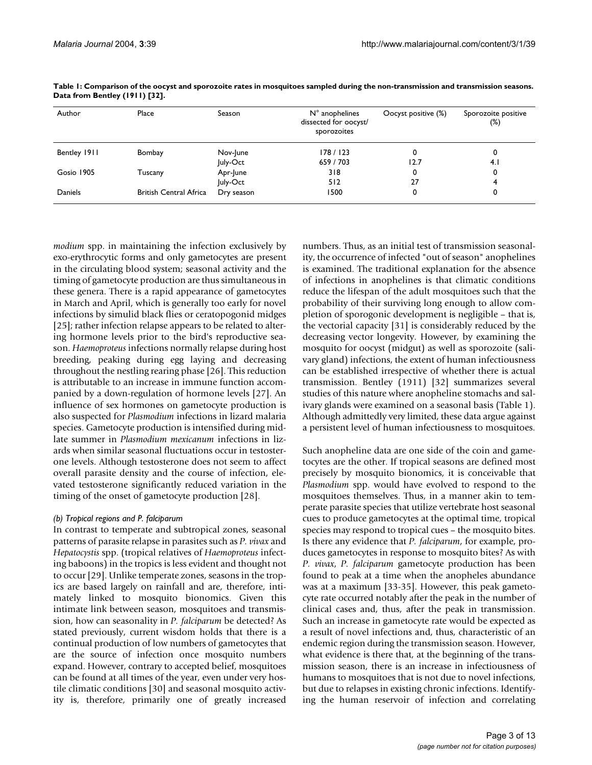| Author       | Place                         | Season     | $N^{\circ}$ anophelines<br>dissected for oocyst/<br>sporozoites | Oocyst positive (%) | Sporozoite positive<br>(%) |
|--------------|-------------------------------|------------|-----------------------------------------------------------------|---------------------|----------------------------|
| Bentley 1911 | Bombay                        | Nov-June   | 178 / 123                                                       | 0                   | 0                          |
|              |                               | July-Oct   | 659 / 703                                                       | 12.7                | 4.1                        |
| Gosio 1905   | Tuscany                       | Apr-June   | 318                                                             | 0                   | 0                          |
|              |                               | July-Oct   | 512                                                             | 27                  |                            |
| Daniels      | <b>British Central Africa</b> | Dry season | 1500                                                            | 0                   |                            |

**Table 1: Comparison of the oocyst and sporozoite rates in mosquitoes sampled during the non-transmission and transmission seasons. Data from Bentley (1911) [32].**

*modium* spp. in maintaining the infection exclusively by exo-erythrocytic forms and only gametocytes are present in the circulating blood system; seasonal activity and the timing of gametocyte production are thus simultaneous in these genera. There is a rapid appearance of gametocytes in March and April, which is generally too early for novel infections by simulid black flies or ceratopogonid midges [25]; rather infection relapse appears to be related to altering hormone levels prior to the bird's reproductive season. *Haemoproteus* infections normally relapse during host breeding, peaking during egg laying and decreasing throughout the nestling rearing phase [26]. This reduction is attributable to an increase in immune function accompanied by a down-regulation of hormone levels [27]. An influence of sex hormones on gametocyte production is also suspected for *Plasmodium* infections in lizard malaria species. Gametocyte production is intensified during midlate summer in *Plasmodium mexicanum* infections in lizards when similar seasonal fluctuations occur in testosterone levels. Although testosterone does not seem to affect overall parasite density and the course of infection, elevated testosterone significantly reduced variation in the timing of the onset of gametocyte production [\[28](#page-11-1)].

#### *(b) Tropical regions and P. falciparum*

In contrast to temperate and subtropical zones, seasonal patterns of parasite relapse in parasites such as *P. vivax* and *Hepatocystis* spp. (tropical relatives of *Haemoproteus* infecting baboons) in the tropics is less evident and thought not to occur [29]. Unlike temperate zones, seasons in the tropics are based largely on rainfall and are, therefore, intimately linked to mosquito bionomics. Given this intimate link between season, mosquitoes and transmission, how can seasonality in *P. falciparum* be detected? As stated previously, current wisdom holds that there is a continual production of low numbers of gametocytes that are the source of infection once mosquito numbers expand. However, contrary to accepted belief, mosquitoes can be found at all times of the year, even under very hostile climatic conditions [\[30](#page-11-2)] and seasonal mosquito activity is, therefore, primarily one of greatly increased

numbers. Thus, as an initial test of transmission seasonality, the occurrence of infected "out of season" anophelines is examined. The traditional explanation for the absence of infections in anophelines is that climatic conditions reduce the lifespan of the adult mosquitoes such that the probability of their surviving long enough to allow completion of sporogonic development is negligible – that is, the vectorial capacity [31] is considerably reduced by the decreasing vector longevity. However, by examining the mosquito for oocyst (midgut) as well as sporozoite (salivary gland) infections, the extent of human infectiousness can be established irrespective of whether there is actual transmission. Bentley (1911) [32] summarizes several studies of this nature where anopheline stomachs and salivary glands were examined on a seasonal basis (Table 1). Although admittedly very limited, these data argue against a persistent level of human infectiousness to mosquitoes.

Such anopheline data are one side of the coin and gametocytes are the other. If tropical seasons are defined most precisely by mosquito bionomics, it is conceivable that *Plasmodium* spp. would have evolved to respond to the mosquitoes themselves. Thus, in a manner akin to temperate parasite species that utilize vertebrate host seasonal cues to produce gametocytes at the optimal time, tropical species may respond to tropical cues – the mosquito bites. Is there any evidence that *P. falciparum*, for example, produces gametocytes in response to mosquito bites? As with *P. vivax*, *P. falciparum* gametocyte production has been found to peak at a time when the anopheles abundance was at a maximum [33-35]. However, this peak gametocyte rate occurred notably after the peak in the number of clinical cases and, thus, after the peak in transmission. Such an increase in gametocyte rate would be expected as a result of novel infections and, thus, characteristic of an endemic region during the transmission season. However, what evidence is there that, at the beginning of the transmission season, there is an increase in infectiousness of humans to mosquitoes that is not due to novel infections, but due to relapses in existing chronic infections. Identifying the human reservoir of infection and correlating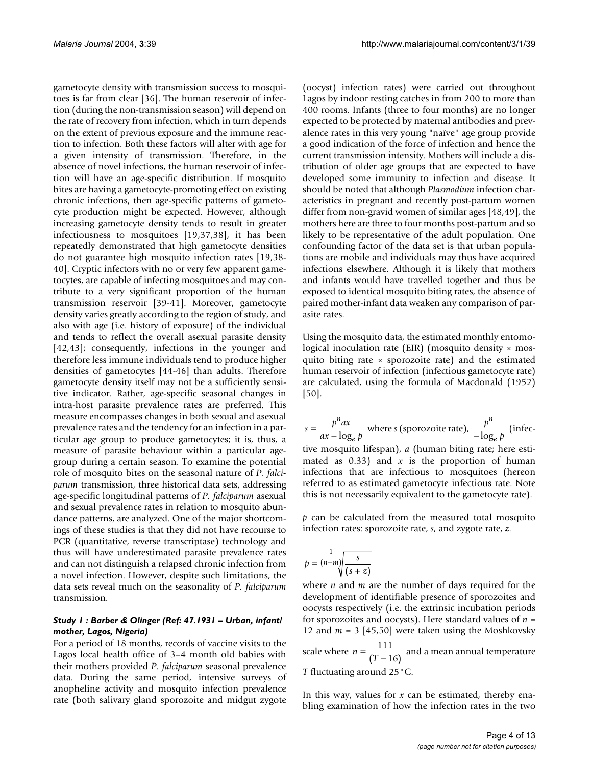gametocyte density with transmission success to mosquitoes is far from clear [36]. The human reservoir of infection (during the non-transmission season) will depend on the rate of recovery from infection, which in turn depends on the extent of previous exposure and the immune reaction to infection. Both these factors will alter with age for a given intensity of transmission. Therefore, in the absence of novel infections, the human reservoir of infection will have an age-specific distribution. If mosquito bites are having a gametocyte-promoting effect on existing chronic infections, then age-specific patterns of gametocyte production might be expected. However, although increasing gametocyte density tends to result in greater infectiousness to mosquitoes [[19,](#page-11-0)37,38], it has been repeatedly demonstrated that high gametocyte densities do not guarantee high mosquito infection rates [[19,](#page-11-0)38- [40](#page-11-3)]. Cryptic infectors with no or very few apparent gametocytes, are capable of infecting mosquitoes and may contribute to a very significant proportion of the human transmission reservoir [[39-](#page-11-4)41]. Moreover, gametocyte density varies greatly according to the region of study, and also with age (i.e. history of exposure) of the individual and tends to reflect the overall asexual parasite density [42,43]; consequently, infections in the younger and therefore less immune individuals tend to produce higher densities of gametocytes [44-46] than adults. Therefore gametocyte density itself may not be a sufficiently sensitive indicator. Rather, age-specific seasonal changes in intra-host parasite prevalence rates are preferred. This measure encompasses changes in both sexual and asexual prevalence rates and the tendency for an infection in a particular age group to produce gametocytes; it is, thus, a measure of parasite behaviour within a particular agegroup during a certain season. To examine the potential role of mosquito bites on the seasonal nature of *P. falciparum* transmission, three historical data sets, addressing age-specific longitudinal patterns of *P. falciparum* asexual and sexual prevalence rates in relation to mosquito abundance patterns, are analyzed. One of the major shortcomings of these studies is that they did not have recourse to PCR (quantitative, reverse transcriptase) technology and thus will have underestimated parasite prevalence rates and can not distinguish a relapsed chronic infection from a novel infection. However, despite such limitations, the data sets reveal much on the seasonality of *P. falciparum* transmission.

#### *Study 1 : Barber & Olinger (Ref: 47.1931 – Urban, infant/ mother, Lagos, Nigeria)*

For a period of 18 months, records of vaccine visits to the Lagos local health office of 3–4 month old babies with their mothers provided *P. falciparum* seasonal prevalence data. During the same period, intensive surveys of anopheline activity and mosquito infection prevalence rate (both salivary gland sporozoite and midgut zygote (oocyst) infection rates) were carried out throughout Lagos by indoor resting catches in from 200 to more than 400 rooms. Infants (three to four months) are no longer expected to be protected by maternal antibodies and prevalence rates in this very young "naïve" age group provide a good indication of the force of infection and hence the current transmission intensity. Mothers will include a distribution of older age groups that are expected to have developed some immunity to infection and disease. It should be noted that although *Plasmodium* infection characteristics in pregnant and recently post-partum women differ from non-gravid women of similar ages [48,49], the mothers here are three to four months post-partum and so likely to be representative of the adult population. One confounding factor of the data set is that urban populations are mobile and individuals may thus have acquired infections elsewhere. Although it is likely that mothers and infants would have travelled together and thus be exposed to identical mosquito biting rates, the absence of paired mother-infant data weaken any comparison of parasite rates.

Using the mosquito data, the estimated monthly entomological inoculation rate (EIR) (mosquito density  $\times$  mosquito biting rate  $\times$  sporozoite rate) and the estimated human reservoir of infection (infectious gametocyte rate) are calculated, using the formula of Macdonald (1952) [50].

$$
s = \frac{p^n a x}{ax - \log_e p}
$$
 where *s* (sporozoite rate),  $\frac{p^n}{-\log_e p}$  (infec-

tive mosquito lifespan), *a* (human biting rate; here estimated as  $0.33$ ) and  $x$  is the proportion of human infections that are infectious to mosquitoes (hereon referred to as estimated gametocyte infectious rate. Note this is not necessarily equivalent to the gametocyte rate).

*p* can be calculated from the measured total mosquito infection rates: sporozoite rate, *s*, and zygote rate, *z*.

$$
p = \frac{1}{(n-m)} \sqrt{\frac{s}{(s+z)}}
$$

where *n* and *m* are the number of days required for the development of identifiable presence of sporozoites and oocysts respectively (i.e. the extrinsic incubation periods for sporozoites and oocysts). Here standard values of *n* = 12 and  $m = 3$  [45,50] were taken using the Moshkovsky scale where  $n = \frac{111}{(T-16)}$  and a mean annual temperature *T* fluctuating around 25°C.  $(T - 16)$ 

In this way, values for *x* can be estimated, thereby enabling examination of how the infection rates in the two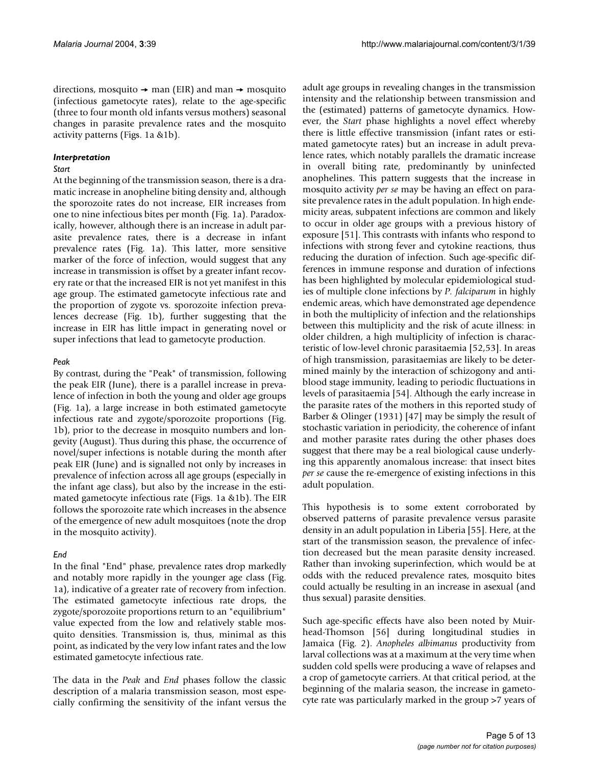directions, mosquito  $\rightarrow$  man (EIR) and man  $\rightarrow$  mosquito (infectious gametocyte rates), relate to the age-specific (three to four month old infants versus mothers) seasonal changes in parasite prevalence rates and the mosquito activity patterns (Figs. [1a](#page-5-0) &[1](#page-5-0)b).

#### *Interpretation*

#### *Start*

At the beginning of the transmission season, there is a dramatic increase in anopheline biting density and, although the sporozoite rates do not increase, EIR increases from one to nine infectious bites per month (Fig. [1](#page-5-0)a). Paradoxically, however, although there is an increase in adult parasite prevalence rates, there is a decrease in infant prevalence rates (Fig. [1](#page-5-0)a). This latter, more sensitive marker of the force of infection, would suggest that any increase in transmission is offset by a greater infant recovery rate or that the increased EIR is not yet manifest in this age group. The estimated gametocyte infectious rate and the proportion of zygote vs. sporozoite infection prevalences decrease (Fig. [1](#page-5-0)b), further suggesting that the increase in EIR has little impact in generating novel or super infections that lead to gametocyte production.

### *Peak*

By contrast, during the "Peak" of transmission, following the peak EIR (June), there is a parallel increase in prevalence of infection in both the young and older age groups (Fig. [1](#page-5-0)a), a large increase in both estimated gametocyte infectious rate and zygote/sporozoite proportions (Fig. [1b](#page-5-0)), prior to the decrease in mosquito numbers and longevity (August). Thus during this phase, the occurrence of novel/super infections is notable during the month after peak EIR (June) and is signalled not only by increases in prevalence of infection across all age groups (especially in the infant age class), but also by the increase in the estimated gametocyte infectious rate (Figs. [1](#page-5-0)a &[1](#page-5-0)b). The EIR follows the sporozoite rate which increases in the absence of the emergence of new adult mosquitoes (note the drop in the mosquito activity).

### *End*

In the final "End" phase, prevalence rates drop markedly and notably more rapidly in the younger age class (Fig. [1a](#page-5-0)), indicative of a greater rate of recovery from infection. The estimated gametocyte infectious rate drops, the zygote/sporozoite proportions return to an "equilibrium" value expected from the low and relatively stable mosquito densities. Transmission is, thus, minimal as this point, as indicated by the very low infant rates and the low estimated gametocyte infectious rate.

The data in the *Peak* and *End* phases follow the classic description of a malaria transmission season, most especially confirming the sensitivity of the infant versus the adult age groups in revealing changes in the transmission intensity and the relationship between transmission and the (estimated) patterns of gametocyte dynamics. However, the *Start* phase highlights a novel effect whereby there is little effective transmission (infant rates or estimated gametocyte rates) but an increase in adult prevalence rates, which notably parallels the dramatic increase in overall biting rate, predominantly by uninfected anophelines. This pattern suggests that the increase in mosquito activity *per se* may be having an effect on parasite prevalence rates in the adult population. In high endemicity areas, subpatent infections are common and likely to occur in older age groups with a previous history of exposure [51]. This contrasts with infants who respond to infections with strong fever and cytokine reactions, thus reducing the duration of infection. Such age-specific differences in immune response and duration of infections has been highlighted by molecular epidemiological studies of multiple clone infections by *P. falciparum* in highly endemic areas, which have demonstrated age dependence in both the multiplicity of infection and the relationships between this multiplicity and the risk of acute illness: in older children, a high multiplicity of infection is characteristic of low-level chronic parasitaemia [[52,](#page-11-5)[53](#page-12-0)]. In areas of high transmission, parasitaemias are likely to be determined mainly by the interaction of schizogony and antiblood stage immunity, leading to periodic fluctuations in levels of parasitaemia [54]. Although the early increase in the parasite rates of the mothers in this reported study of Barber & Olinger (1931) [47] may be simply the result of stochastic variation in periodicity, the coherence of infant and mother parasite rates during the other phases does suggest that there may be a real biological cause underlying this apparently anomalous increase: that insect bites *per se* cause the re-emergence of existing infections in this adult population.

This hypothesis is to some extent corroborated by observed patterns of parasite prevalence versus parasite density in an adult population in Liberia [55]. Here, at the start of the transmission season, the prevalence of infection decreased but the mean parasite density increased. Rather than invoking superinfection, which would be at odds with the reduced prevalence rates, mosquito bites could actually be resulting in an increase in asexual (and thus sexual) parasite densities.

Such age-specific effects have also been noted by Muirhead-Thomson [[56\]](#page-12-1) during longitudinal studies in Jamaica (Fig. 2). *Anopheles albimanus* productivity from larval collections was at a maximum at the very time when sudden cold spells were producing a wave of relapses and a crop of gametocyte carriers. At that critical period, at the beginning of the malaria season, the increase in gametocyte rate was particularly marked in the group >7 years of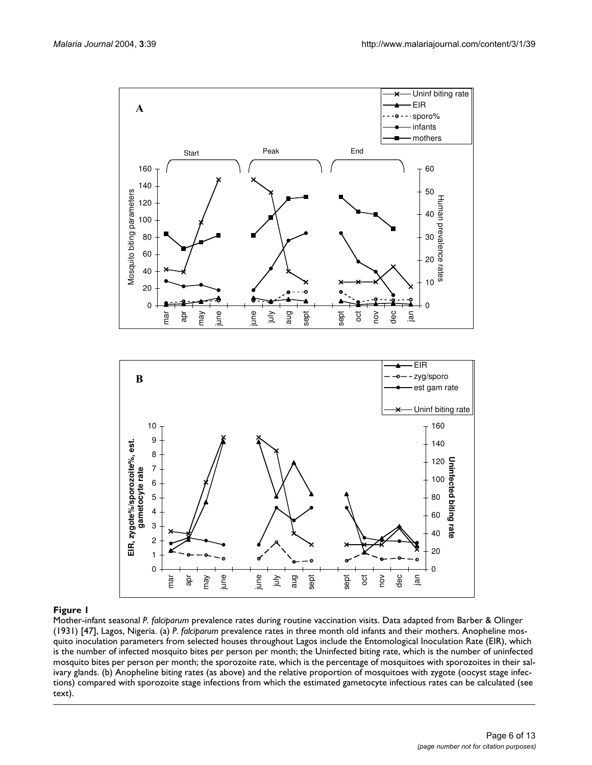<span id="page-5-0"></span>

Mother-infant seasonal *P. falciparum* prevalence rates during routine vaccination visits. Data adapted from Barber & Olinger (1931) [47], Lagos, Nigeria. (a) *P. falciparum* prevalence rates in three month old infants and their mothers. Anopheline mosquito inoculation parameters from selected houses throughout Lagos include the Entomological Inoculation Rate (EIR), which is the number of infected mosquito bites per person per month; the Uninfected biting rate, which is the number of uninfected mosquito bites per person per month; the sporozoite rate, which is the percentage of mosquitoes with sporozoites in their salivary glands. (b) Anopheline biting rates (as above) and the relative proportion of mosquitoes with zygote (oocyst stage infections) compared with sporozoite stage infections from which the estimated gametocyte infectious rates can be calculated (see text).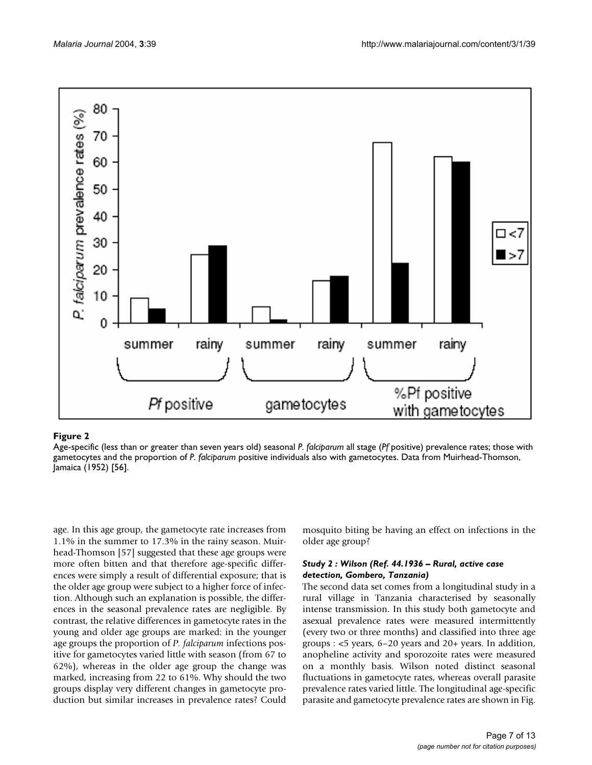

#### Figure 2 and 2008 and 2008 and 2008 and 2008 and 2008 and 2008 and 2008 and 2008 and 2008 and 2008 and 2008 and

Age-specific (less than or greater than seven years old) seasonal *P. falciparum* all stage (*Pf* positive) prevalence rates; those with gametocytes and the proportion of *P. falciparum* positive individuals also with gametocytes. Data from Muirhead-Thomson, Jamaica (1952) [56].

age. In this age group, the gametocyte rate increases from 1.1% in the summer to 17.3% in the rainy season. Muirhead-Thomson [57] suggested that these age groups were more often bitten and that therefore age-specific differences were simply a result of differential exposure; that is the older age group were subject to a higher force of infection. Although such an explanation is possible, the differences in the seasonal prevalence rates are negligible. By contrast, the relative differences in gametocyte rates in the young and older age groups are marked: in the younger age groups the proportion of *P. falciparum* infections positive for gametocytes varied little with season (from 67 to 62%), whereas in the older age group the change was marked, increasing from 22 to 61%. Why should the two groups display very different changes in gametocyte production but similar increases in prevalence rates? Could mosquito biting be having an effect on infections in the older age group?

#### *Study 2 : Wilson (Ref. 44.1936 – Rural, active case detection, Gombero, Tanzania)*

The second data set comes from a longitudinal study in a rural village in Tanzania characterised by seasonally intense transmission. In this study both gametocyte and asexual prevalence rates were measured intermittently (every two or three months) and classified into three age groups : <5 years, 6–20 years and 20+ years. In addition, anopheline activity and sporozoite rates were measured on a monthly basis. Wilson noted distinct seasonal fluctuations in gametocyte rates, whereas overall parasite prevalence rates varied little. The longitudinal age-specific parasite and gametocyte prevalence rates are shown in Fig.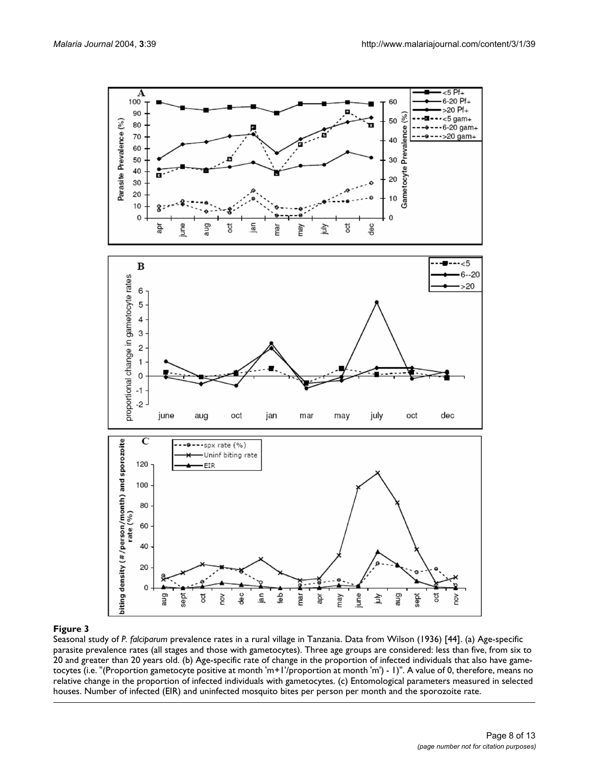

#### Figure 3

Seasonal study of *P. falciparum* prevalence rates in a rural village in Tanzania. Data from Wilson (1936) [44]. (a) Age-specific parasite prevalence rates (all stages and those with gametocytes). Three age groups are considered: less than five, from six to 20 and greater than 20 years old. (b) Age-specific rate of change in the proportion of infected individuals that also have gametocytes (i.e. "(Proportion gametocyte positive at month 'm+1'/proportion at month 'm') - 1)". A value of 0, therefore, means no relative change in the proportion of infected individuals with gametocytes. (c) Entomological parameters measured in selected houses. Number of infected (EIR) and uninfected mosquito bites per person per month and the sporozoite rate.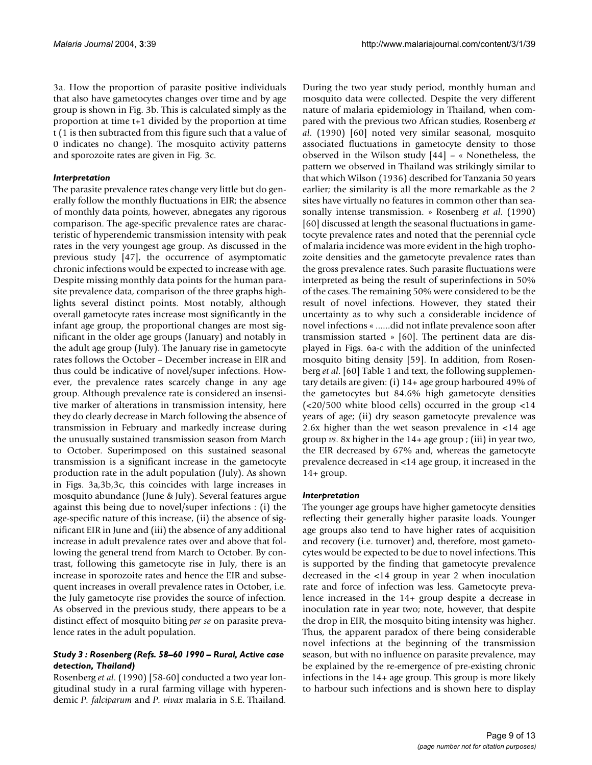3a. How the proportion of parasite positive individuals that also have gametocytes changes over time and by age group is shown in Fig. 3b. This is calculated simply as the proportion at time t+1 divided by the proportion at time t (1 is then subtracted from this figure such that a value of 0 indicates no change). The mosquito activity patterns and sporozoite rates are given in Fig. 3c.

### *Interpretation*

The parasite prevalence rates change very little but do generally follow the monthly fluctuations in EIR; the absence of monthly data points, however, abnegates any rigorous comparison. The age-specific prevalence rates are characteristic of hyperendemic transmission intensity with peak rates in the very youngest age group. As discussed in the previous study [47], the occurrence of asymptomatic chronic infections would be expected to increase with age. Despite missing monthly data points for the human parasite prevalence data, comparison of the three graphs highlights several distinct points. Most notably, although overall gametocyte rates increase most significantly in the infant age group, the proportional changes are most significant in the older age groups (January) and notably in the adult age group (July). The January rise in gametocyte rates follows the October – December increase in EIR and thus could be indicative of novel/super infections. However, the prevalence rates scarcely change in any age group. Although prevalence rate is considered an insensitive marker of alterations in transmission intensity, here they do clearly decrease in March following the absence of transmission in February and markedly increase during the unusually sustained transmission season from March to October. Superimposed on this sustained seasonal transmission is a significant increase in the gametocyte production rate in the adult population (July). As shown in Figs. 3a,3b,3c, this coincides with large increases in mosquito abundance (June & July). Several features argue against this being due to novel/super infections : (i) the age-specific nature of this increase, (ii) the absence of significant EIR in June and (iii) the absence of any additional increase in adult prevalence rates over and above that following the general trend from March to October. By contrast, following this gametocyte rise in July, there is an increase in sporozoite rates and hence the EIR and subsequent increases in overall prevalence rates in October, i.e. the July gametocyte rise provides the source of infection. As observed in the previous study, there appears to be a distinct effect of mosquito biting *per se* on parasite prevalence rates in the adult population.

### *Study 3 : Rosenberg (Refs. 58–60 1990 – Rural, Active case detection, Thailand)*

Rosenberg *et al*. (1990) [58-60] conducted a two year longitudinal study in a rural farming village with hyperendemic *P. falciparum* and *P. vivax* malaria in S.E. Thailand.

During the two year study period, monthly human and mosquito data were collected. Despite the very different nature of malaria epidemiology in Thailand, when compared with the previous two African studies, Rosenberg *et al*. (1990) [60] noted very similar seasonal, mosquito associated fluctuations in gametocyte density to those observed in the Wilson study [44] – « Nonetheless, the pattern we observed in Thailand was strikingly similar to that which Wilson (1936) described for Tanzania 50 years earlier; the similarity is all the more remarkable as the 2 sites have virtually no features in common other than seasonally intense transmission. » Rosenberg *et al*. (1990) [60] discussed at length the seasonal fluctuations in gametocyte prevalence rates and noted that the perennial cycle of malaria incidence was more evident in the high trophozoite densities and the gametocyte prevalence rates than the gross prevalence rates. Such parasite fluctuations were interpreted as being the result of superinfections in 50% of the cases. The remaining 50% were considered to be the result of novel infections. However, they stated their uncertainty as to why such a considerable incidence of novel infections « ......did not inflate prevalence soon after transmission started » [60]. The pertinent data are displayed in Figs. 6a-c with the addition of the uninfected mosquito biting density [59]. In addition, from Rosenberg *et al*. [60] Table 1 and text, the following supplementary details are given: (i) 14+ age group harboured 49% of the gametocytes but 84.6% high gametocyte densities (<20/500 white blood cells) occurred in the group <14 years of age; (ii) dry season gametocyte prevalence was 2.6x higher than the wet season prevalence in <14 age group *vs*. 8x higher in the 14+ age group ; (iii) in year two, the EIR decreased by 67% and, whereas the gametocyte prevalence decreased in <14 age group, it increased in the  $14+$  group.

### *Interpretation*

The younger age groups have higher gametocyte densities reflecting their generally higher parasite loads. Younger age groups also tend to have higher rates of acquisition and recovery (i.e. turnover) and, therefore, most gametocytes would be expected to be due to novel infections. This is supported by the finding that gametocyte prevalence decreased in the <14 group in year 2 when inoculation rate and force of infection was less. Gametocyte prevalence increased in the 14+ group despite a decrease in inoculation rate in year two; note, however, that despite the drop in EIR, the mosquito biting intensity was higher. Thus, the apparent paradox of there being considerable novel infections at the beginning of the transmission season, but with no influence on parasite prevalence, may be explained by the re-emergence of pre-existing chronic infections in the 14+ age group. This group is more likely to harbour such infections and is shown here to display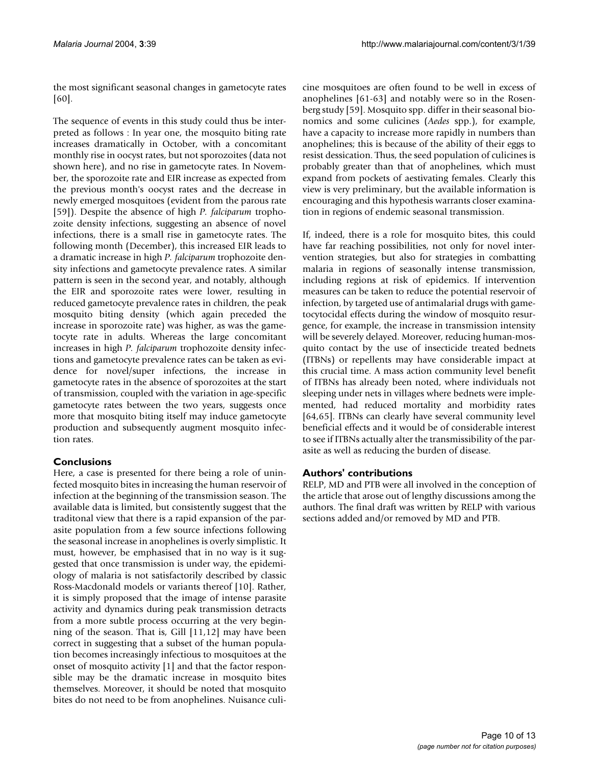the most significant seasonal changes in gametocyte rates [60].

The sequence of events in this study could thus be interpreted as follows : In year one, the mosquito biting rate increases dramatically in October, with a concomitant monthly rise in oocyst rates, but not sporozoites (data not shown here), and no rise in gametocyte rates. In November, the sporozoite rate and EIR increase as expected from the previous month's oocyst rates and the decrease in newly emerged mosquitoes (evident from the parous rate [59]). Despite the absence of high *P. falciparum* trophozoite density infections, suggesting an absence of novel infections, there is a small rise in gametocyte rates. The following month (December), this increased EIR leads to a dramatic increase in high *P. falciparum* trophozoite density infections and gametocyte prevalence rates. A similar pattern is seen in the second year, and notably, although the EIR and sporozoite rates were lower, resulting in reduced gametocyte prevalence rates in children, the peak mosquito biting density (which again preceded the increase in sporozoite rate) was higher, as was the gametocyte rate in adults. Whereas the large concomitant increases in high *P. falciparum* trophozoite density infections and gametocyte prevalence rates can be taken as evidence for novel/super infections, the increase in gametocyte rates in the absence of sporozoites at the start of transmission, coupled with the variation in age-specific gametocyte rates between the two years, suggests once more that mosquito biting itself may induce gametocyte production and subsequently augment mosquito infection rates.

# **Conclusions**

Here, a case is presented for there being a role of uninfected mosquito bites in increasing the human reservoir of infection at the beginning of the transmission season. The available data is limited, but consistently suggest that the traditonal view that there is a rapid expansion of the parasite population from a few source infections following the seasonal increase in anophelines is overly simplistic. It must, however, be emphasised that in no way is it suggested that once transmission is under way, the epidemiology of malaria is not satisfactorily described by classic Ross-Macdonald models or variants thereof [10]. Rather, it is simply proposed that the image of intense parasite activity and dynamics during peak transmission detracts from a more subtle process occurring at the very beginning of the season. That is, Gill [11,12] may have been correct in suggesting that a subset of the human population becomes increasingly infectious to mosquitoes at the onset of mosquito activity [1] and that the factor responsible may be the dramatic increase in mosquito bites themselves. Moreover, it should be noted that mosquito bites do not need to be from anophelines. Nuisance culicine mosquitoes are often found to be well in excess of anophelines [61-63] and notably were so in the Rosenberg study [59]. Mosquito spp. differ in their seasonal bionomics and some culicines (*Aedes* spp.), for example, have a capacity to increase more rapidly in numbers than anophelines; this is because of the ability of their eggs to resist dessication. Thus, the seed population of culicines is probably greater than that of anophelines, which must expand from pockets of aestivating females. Clearly this view is very preliminary, but the available information is encouraging and this hypothesis warrants closer examination in regions of endemic seasonal transmission.

If, indeed, there is a role for mosquito bites, this could have far reaching possibilities, not only for novel intervention strategies, but also for strategies in combatting malaria in regions of seasonally intense transmission, including regions at risk of epidemics. If intervention measures can be taken to reduce the potential reservoir of infection, by targeted use of antimalarial drugs with gametocytocidal effects during the window of mosquito resurgence, for example, the increase in transmission intensity will be severely delayed. Moreover, reducing human-mosquito contact by the use of insecticide treated bednets (ITBNs) or repellents may have considerable impact at this crucial time. A mass action community level benefit of ITBNs has already been noted, where individuals not sleeping under nets in villages where bednets were implemented, had reduced mortality and morbidity rates [64,65]. ITBNs can clearly have several community level beneficial effects and it would be of considerable interest to see if ITBNs actually alter the transmissibility of the parasite as well as reducing the burden of disease.

# **Authors' contributions**

RELP, MD and PTB were all involved in the conception of the article that arose out of lengthy discussions among the authors. The final draft was written by RELP with various sections added and/or removed by MD and PTB.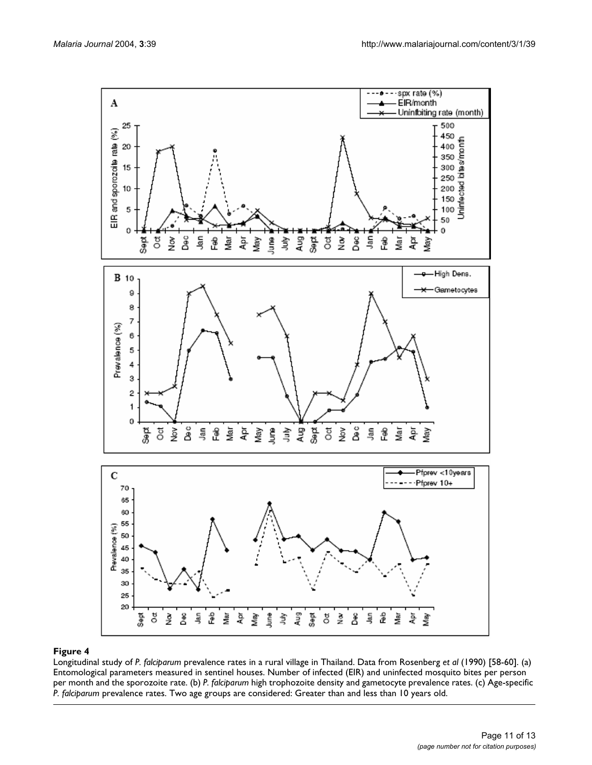

#### Figure 4

Longitudinal study of *P. falciparum* prevalence rates in a rural village in Thailand. Data from Rosenberg *et al* (1990) [58-60]. (a) Entomological parameters measured in sentinel houses. Number of infected (EIR) and uninfected mosquito bites per person per month and the sporozoite rate. (b) *P. falciparum* high trophozoite density and gametocyte prevalence rates. (c) Age-specific *P. falciparum* prevalence rates. Two age groups are considered: Greater than and less than 10 years old.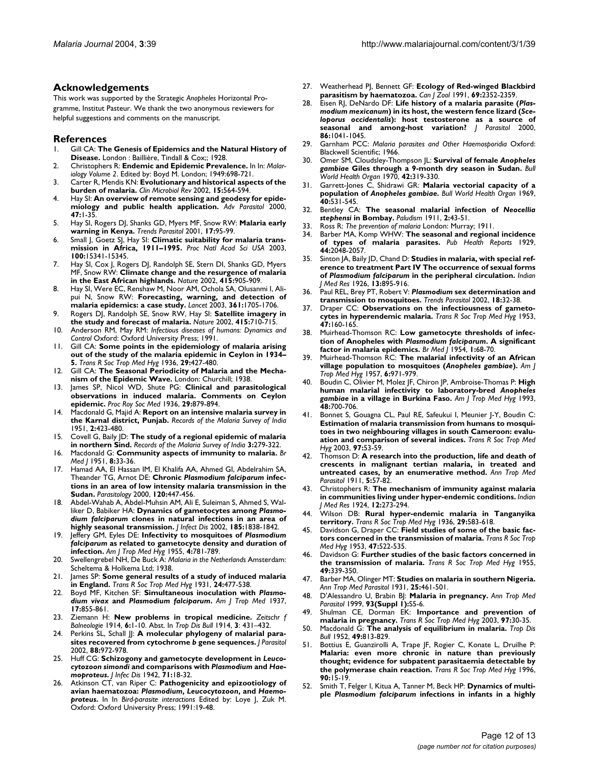#### **Acknowledgements**

This work was supported by the Strategic *Anopheles* Horizontal Programme, Institut Pasteur. We thank the two anonymous reviewers for helpful suggestions and comments on the manuscript.

- **References**
- 1. Gill CA: **The Genesis of Epidemics and the Natural History of Disease.** London : Baillière, Tindall & Cox;; 1928.
- 2. Christophers R: **Endemic and Epidemic Prevalence.** In In: *Malariology Volume 2*. Edited by: Boyd M. London; 1949:698-721.
- 3. Carter R, Mendis KN: **[Evolutionary and historical aspects of the](http://www.ncbi.nlm.nih.gov/entrez/query.fcgi?cmd=Retrieve&db=PubMed&dopt=Abstract&list_uids=12364370) [burden of malaria.](http://www.ncbi.nlm.nih.gov/entrez/query.fcgi?cmd=Retrieve&db=PubMed&dopt=Abstract&list_uids=12364370)** *Clin Microbiol Rev* 2002, **15:**564-594.
- 4. Hay SI: **[An overview of remote sensing and geodesy for epide](http://www.ncbi.nlm.nih.gov/entrez/query.fcgi?cmd=Retrieve&db=PubMed&dopt=Abstract&list_uids=10997203)[miology and public health application.](http://www.ncbi.nlm.nih.gov/entrez/query.fcgi?cmd=Retrieve&db=PubMed&dopt=Abstract&list_uids=10997203)** *Adv Parasitol* 2000, **47:**1-35.
- 5. Hay SI, Rogers DJ, Shanks GD, Myers MF, Snow RW: **[Malaria early](http://www.ncbi.nlm.nih.gov/entrez/query.fcgi?cmd=Retrieve&db=PubMed&dopt=Abstract&list_uids=11228016) [warning in Kenya.](http://www.ncbi.nlm.nih.gov/entrez/query.fcgi?cmd=Retrieve&db=PubMed&dopt=Abstract&list_uids=11228016)** *Trends Parasitol* 2001, **17:**95-99.
- 6. Small J, Goetz SJ, Hay SI: **[Climatic suitability for malaria trans](http://www.ncbi.nlm.nih.gov/entrez/query.fcgi?cmd=Retrieve&db=PubMed&dopt=Abstract&list_uids=14663146)[mission in Africa, 1911–1995.](http://www.ncbi.nlm.nih.gov/entrez/query.fcgi?cmd=Retrieve&db=PubMed&dopt=Abstract&list_uids=14663146)** *Proc Natl Acad Sci USA* 2003, **100:**15341-15345.
- 7. Hay SI, Cox J, Rogers DJ, Randolph SE, Stern DI, Shanks GD, Myers MF, Snow RW: **[Climate change and the resurgence of malaria](http://www.ncbi.nlm.nih.gov/entrez/query.fcgi?cmd=Retrieve&db=PubMed&dopt=Abstract&list_uids=11859368) [in the East African highlands.](http://www.ncbi.nlm.nih.gov/entrez/query.fcgi?cmd=Retrieve&db=PubMed&dopt=Abstract&list_uids=11859368)** *Nature* 2002, **415:**905-909.
- 8. Hay SI, Were EC, Renshaw M, Noor AM, Ochola SA, Olusanmi I, Alipui N, Snow RW: **[Forecasting, warning, and detection of](http://www.ncbi.nlm.nih.gov/entrez/query.fcgi?cmd=Retrieve&db=PubMed&dopt=Abstract&list_uids=12767739) [malaria epidemics: a case study.](http://www.ncbi.nlm.nih.gov/entrez/query.fcgi?cmd=Retrieve&db=PubMed&dopt=Abstract&list_uids=12767739)** *Lancet* 2003, **361:**1705-1706.
- 9. Rogers DJ, Randolph SE, Snow RW, Hay SI: **[Satellite imagery in](http://www.ncbi.nlm.nih.gov/entrez/query.fcgi?cmd=Retrieve&db=PubMed&dopt=Abstract&list_uids=11832960) [the study and forecast of malaria.](http://www.ncbi.nlm.nih.gov/entrez/query.fcgi?cmd=Retrieve&db=PubMed&dopt=Abstract&list_uids=11832960)** *Nature* 2002, **415:**710-715.
- 10. Anderson RM, May RM: *Infectious diseases of humans: Dynamics and Control* Oxford: Oxford University Press; 1991.
- 11. Gill CA: **Some points in the epidemiology of malaria arising out of the study of the malaria epidemic in Ceylon in 1934– 5.** *Trans R Soc Trop Med Hyg* 1936, **29:**427-480.
- 12. Gill CA: **The Seasonal Periodicity of Malaria and the Mechanism of the Epidemic Wave.** London: Churchill; 1938.
- 13. James SP, Nicol WD, Shute PG: **Clinical and parasitological observations in induced malaria. Comments on Ceylon epidemic.** *Proc Roy Soc Med* 1936, **29:**879-894.
- 14. Macdonald G, Majid A: **Report on an intensive malaria survey in the Karnal district, Punjab.** *Records of the Malaria Survey of India* 1951, **2:**423-480.
- 15. Covell G, Baily JD: **The study of a regional epidemic of malaria**
- **in northern Sind.** *Records of the Malaria Survey of India* **3:**279-322. 16. Macdonald G: **Community aspects of immunity to malaria.** *Br Med J* 1951, **8:**33-36.
- 17. Hamad AA, El Hassan IM, El Khalifa AA, Ahmed GI, Abdelrahim SA, Theander TG, Arnot DE: **Chronic** *Plasmodium falciparum* **[infec](http://www.ncbi.nlm.nih.gov/entrez/query.fcgi?cmd=Retrieve&db=PubMed&dopt=Abstract&list_uids=10840974)[tions in an area of low intensity malaria transmission in the](http://www.ncbi.nlm.nih.gov/entrez/query.fcgi?cmd=Retrieve&db=PubMed&dopt=Abstract&list_uids=10840974) [Sudan.](http://www.ncbi.nlm.nih.gov/entrez/query.fcgi?cmd=Retrieve&db=PubMed&dopt=Abstract&list_uids=10840974)** *Parasitology* 2000, **120:**447-456.
- 18. Abdel-Wahab A, Abdel-Muhsin AM, Ali E, Suleiman S, Ahmed S, Walliker D, Babiker HA: **Dynamics of gametocytes among** *Plasmodium falciparum* **[clones in natural infections in an area of](http://www.ncbi.nlm.nih.gov/entrez/query.fcgi?cmd=Retrieve&db=PubMed&dopt=Abstract&list_uids=12085337) [highly seasonal transmission.](http://www.ncbi.nlm.nih.gov/entrez/query.fcgi?cmd=Retrieve&db=PubMed&dopt=Abstract&list_uids=12085337)** *J Infect Dis* 2002, **185:**1838-1842.
- <span id="page-11-0"></span>19. Jeffery GM, Eyles DE: **Infectivity to mosquitoes of** *Plasmodium falciparum* **[as related to gametocyte density and duration of](http://www.ncbi.nlm.nih.gov/entrez/query.fcgi?cmd=Retrieve&db=PubMed&dopt=Abstract&list_uids=13259002) [infection.](http://www.ncbi.nlm.nih.gov/entrez/query.fcgi?cmd=Retrieve&db=PubMed&dopt=Abstract&list_uids=13259002)** *Am J Trop Med Hyg* 1955, **4:**781-789.
- 20. Swellengrebel NH, De Buck A: *Malaria in the Netherlands* Amsterdam: Scheltema & Holkema Ltd; 1938.
- 21. James SP: **Some general results of a study of induced malaria in England.** *Trans R Soc Trop Med Hyg* 1931, **24:**477-538.
- 22. Boyd MF, Kitchen SF: **Simultaneous inoculation with** *Plasmodium vivax* **and** *Plasmodium falciparum***.** *Am J Trop Med* 1937, **17:**855-861.
- 23. Ziemann H: **New problems in tropical medicine.** *Zeitschr f Balneologie* 1914, **6:**1-10. Abst. In *Trop Dis Bull* 1914, **3**: 431–432.
- 24. Perkins SL, Schall JJ: **A molecular phylogeny of malarial parasites recovered from cytochrome** *b* **[gene sequences.](http://www.ncbi.nlm.nih.gov/entrez/query.fcgi?cmd=Retrieve&db=PubMed&dopt=Abstract&list_uids=12435139)** *J Parasitol* 2002, **88:**972-978.
- 25. Huff CG: **Schizogony and gametocyte development in** *Leucocytozoon simondi* **and comparisons with** *Plasmodium* **and** *Haemoproteus***.** *J Infec Dis* 1942, **71:**18-32.
- 26. Atkinson CT, van Riper C: **Pathogenicity and epizootiology of avian haematozoa:** *Plasmodium***,** *Leucocytozoon***, and** *Haemoproteus***.** In In *Bird-parasite interactions* Edited by: Loye J, Zuk M. Oxford: Oxford University Press; 1991:19-48.
- 27. Weatherhead PJ, Bennett GF: **Ecology of Red-winged Blackbird parasitism by haematozoa.** *Can J Zool* 1991, **69:**2352-2359.
- <span id="page-11-1"></span>28. Eisen RJ, DeNardo DF: **Life history of a malaria parasite (***Plasmodium mexicanum***) in its host, the western fence lizard (***Sceloporus occidentalis***[\): host testosterone as a source of](http://www.ncbi.nlm.nih.gov/entrez/query.fcgi?cmd=Retrieve&db=PubMed&dopt=Abstract&list_uids=11128477) [seasonal and among-host variation?](http://www.ncbi.nlm.nih.gov/entrez/query.fcgi?cmd=Retrieve&db=PubMed&dopt=Abstract&list_uids=11128477)** *J Parasitol* 2000, **86:**1041-1045.
- 29. Garnham PCC: *Malaria parasites and Other Haemosporidia* Oxford: Blackwell Scientific; 1966.
- <span id="page-11-2"></span>30. Omer SM, Cloudsley-Thompson JL: **Survival of female** *Anopheles gambiae* **[Giles through a 9-month dry season in Sudan.](http://www.ncbi.nlm.nih.gov/entrez/query.fcgi?cmd=Retrieve&db=PubMed&dopt=Abstract&list_uids=5310144)** *Bull World Health Organ* 1970, **42:**319-330.
- 31. Garrett-Jones C, Shidrawi GR: **Malaria vectorial capacity of a population of** *Anopheles gambiae***[.](http://www.ncbi.nlm.nih.gov/entrez/query.fcgi?cmd=Retrieve&db=PubMed&dopt=Abstract&list_uids=5306719)** *Bull World Health Organ* 1969, **40:**531-545.
- 32. Bentley CA: **The seasonal malarial infection of** *Neocellia stephensi* **in Bombay.** *Paludism* 1911, **2:**43-51.
- 33. Ross R: *The prevention of malaria* London: Murray; 1911.
- Barber MA, Komp WHW: The seasonal and regional incidence **of types of malaria parasites.** *Pub Health Reports* 1929, **44:**2048-2057.
- 35. Sinton JA, Baily JD, Chand D: **Studies in malaria, with special reference to treatment Part IV The occurrence of sexual forms of** *Plasmodium falciparum* **in the peripheral circulation.** *Indian J Med Res* 1926, **13:**895-916.
- 36. Paul REL, Brey PT, Robert V: *Plasmodium* **[sex determination and](http://www.ncbi.nlm.nih.gov/entrez/query.fcgi?cmd=Retrieve&db=PubMed&dopt=Abstract&list_uids=11850012) [transmission to mosquitoes.](http://www.ncbi.nlm.nih.gov/entrez/query.fcgi?cmd=Retrieve&db=PubMed&dopt=Abstract&list_uids=11850012)** *Trends Parasitol* 2002, **18:**32-38.
- 37. Draper CC: **[Observations on the infectiousness of gameto](http://www.ncbi.nlm.nih.gov/entrez/query.fcgi?cmd=Retrieve&db=PubMed&dopt=Abstract&list_uids=13077714)[cytes in hyperendemic malaria.](http://www.ncbi.nlm.nih.gov/entrez/query.fcgi?cmd=Retrieve&db=PubMed&dopt=Abstract&list_uids=13077714)** *Trans R Soc Trop Med Hyg* 1953, **47:**160-165.
- 38. Muirhead-Thomson RC: **Low gametocyte thresholds of infection of Anopheles with** *Plasmodium falciparum***. A significant factor in malaria epidemics.** *Br Med J* 1954, **1:**68-70.
- <span id="page-11-4"></span>39. Muirhead-Thomson RC: **The malarial infectivity of an African village population to mosquitoes (***Anopheles gambiae***[\).](http://www.ncbi.nlm.nih.gov/entrez/query.fcgi?cmd=Retrieve&db=PubMed&dopt=Abstract&list_uids=13487967)** *Am J Trop Med Hyg* 1957, **6:**971-979.
- <span id="page-11-3"></span>40. Boudin C, Olivier M, Molez JF, Chiron JP, Ambroise-Thomas P: **High human malarial infectivity to laboratory-bred** *Anopheles gambiae* **[in a village in Burkina Faso.](http://www.ncbi.nlm.nih.gov/entrez/query.fcgi?cmd=Retrieve&db=PubMed&dopt=Abstract&list_uids=8517489)** *Am J Trop Med Hyg* 1993, **48:**700-706.
- Bonnet S, Gouagna CL, Paul RE, Safeukui I, Meunier J-Y, Boudin C: **Estimation of malaria transmission from humans to mosqui[toes in two neighbouring villages in south Cameroon: evalu](http://www.ncbi.nlm.nih.gov/entrez/query.fcgi?cmd=Retrieve&db=PubMed&dopt=Abstract&list_uids=12886806)[ation and comparison of several indices.](http://www.ncbi.nlm.nih.gov/entrez/query.fcgi?cmd=Retrieve&db=PubMed&dopt=Abstract&list_uids=12886806)** *Trans R Soc Trop Med Hyg* 2003, **97:**53-59.
- 42. Thomson D: **A research into the production, life and death of crescents in malignant tertian malaria, in treated and untreated cases, by an enumerative method.** *Ann Trop Med Parasitol* 1911, **5:**57-82.
- 43. Christophers R: **The mechanism of immunity against malaria in communities living under hyper-endemic conditions.** *Indian J Med Res* 1924, **12:**273-294.
- 44. Wilson DB: **Rural hyper-endemic malaria in Tanganyika territory.** *Trans R Soc Trop Med Hyg* 1936, **29:**583-618.
- 45. Davidson G, Draper CC: **[Field studies of some of the basic fac](http://www.ncbi.nlm.nih.gov/entrez/query.fcgi?cmd=Retrieve&db=PubMed&dopt=Abstract&list_uids=13113662)[tors concerned in the transmission of malaria.](http://www.ncbi.nlm.nih.gov/entrez/query.fcgi?cmd=Retrieve&db=PubMed&dopt=Abstract&list_uids=13113662)** *Trans R Soc Trop Med Hyg* 1953, **47:**522-535.
- 46. Davidson G: **[Further studies of the basic factors concerned in](http://www.ncbi.nlm.nih.gov/entrez/query.fcgi?cmd=Retrieve&db=PubMed&dopt=Abstract&list_uids=13247346) [the transmission of malaria.](http://www.ncbi.nlm.nih.gov/entrez/query.fcgi?cmd=Retrieve&db=PubMed&dopt=Abstract&list_uids=13247346)** *Trans R Soc Trop Med Hyg* 1955, **49:**339-350.
- 47. Barber MA, Olinger MT: **Studies on malaria in southern Nigeria.** *Ann Trop Med Parasitol* 1931, **25:**461-501.
- 48. D'Alessandro U, Brabin BJ: **[Malaria in pregnancy.](http://www.ncbi.nlm.nih.gov/entrez/query.fcgi?cmd=Retrieve&db=PubMed&dopt=Abstract&list_uids=10715682)** *Ann Trop Med Parasitol* 1999, **93(Suppl 1):**S5-6.
- 49. Shulman CE, Dorman EK: **[Importance and prevention of](http://www.ncbi.nlm.nih.gov/entrez/query.fcgi?cmd=Retrieve&db=PubMed&dopt=Abstract&list_uids=12886801) [malaria in pregnancy.](http://www.ncbi.nlm.nih.gov/entrez/query.fcgi?cmd=Retrieve&db=PubMed&dopt=Abstract&list_uids=12886801)** *Trans R Soc Trop Med Hyg* 2003, **97:**30-35.
- 50. Macdonald G: **[The analysis of equilibrium in malaria.](http://www.ncbi.nlm.nih.gov/entrez/query.fcgi?cmd=Retrieve&db=PubMed&dopt=Abstract&list_uids=12995455)** *Trop Dis Bull* 1952, **49:**813-829.
- 51. Bottius E, Guanzirolli A, Trape JF, Rogier C, Konate L, Druilhe P: **Malaria: even more chronic in nature than previously [thought; evidence for subpatent parasitaemia detectable by](http://www.ncbi.nlm.nih.gov/entrez/query.fcgi?cmd=Retrieve&db=PubMed&dopt=Abstract&list_uids=8730301) [the polymerase chain reaction.](http://www.ncbi.nlm.nih.gov/entrez/query.fcgi?cmd=Retrieve&db=PubMed&dopt=Abstract&list_uids=8730301)** *Trans R Soc Trop Med Hyg* 1996, **90:**15-19.
- <span id="page-11-5"></span>52. Smith T, Felger I, Kitua A, Tanner M, Beck HP: **Dynamics of multiple** *Plasmodium falciparum* **[infections in infants in a highly](http://www.ncbi.nlm.nih.gov/entrez/query.fcgi?cmd=Retrieve&db=PubMed&dopt=Abstract&list_uids=10450424)**